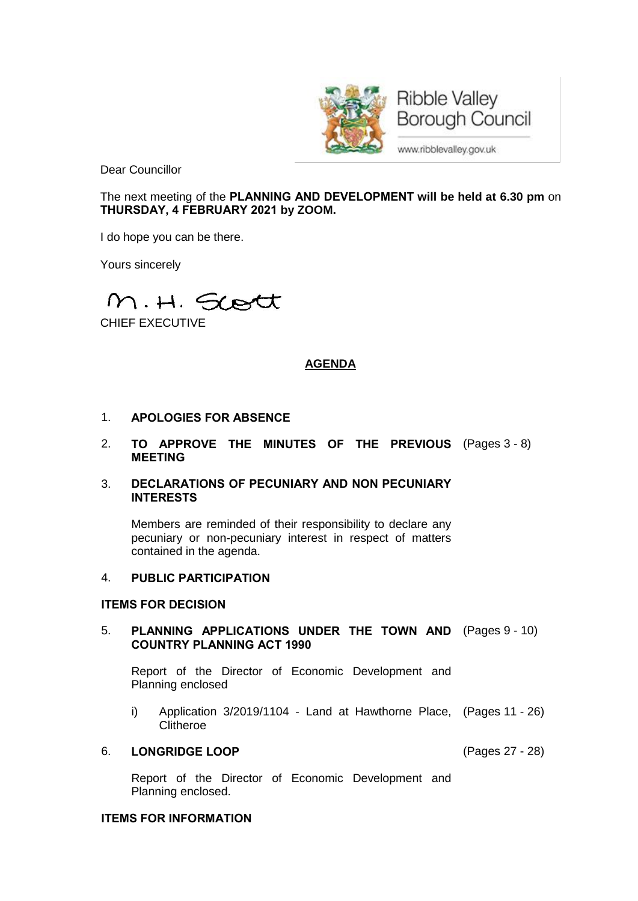

Dear Councillor

The next meeting of the **PLANNING AND DEVELOPMENT will be held at 6.30 pm** on **THURSDAY, 4 FEBRUARY 2021 by ZOOM.**

I do hope you can be there.

Yours sincerely

M.H. Scott

CHIEF EXECUTIVE

# **AGENDA**

## 1. **APOLOGIES FOR ABSENCE**

2. **TO APPROVE THE MINUTES OF THE PREVIOUS** (Pages 3 - 8) **MEETING**

### 3. **DECLARATIONS OF PECUNIARY AND NON PECUNIARY INTERESTS**

Members are reminded of their responsibility to declare any pecuniary or non-pecuniary interest in respect of matters contained in the agenda.

## 4. **PUBLIC PARTICIPATION**

### **ITEMS FOR DECISION**

### 5. **PLANNING APPLICATIONS UNDER THE TOWN AND** (Pages 9 - 10) **COUNTRY PLANNING ACT 1990**

Report of the Director of Economic Development and Planning enclosed

i) Application 3/2019/1104 - Land at Hawthorne Place, (Pages 11 - 26) **Clitheroe** 

#### 6. **LONGRIDGE LOOP** (Pages 27 - 28)

Report of the Director of Economic Development and Planning enclosed.

### **ITEMS FOR INFORMATION**